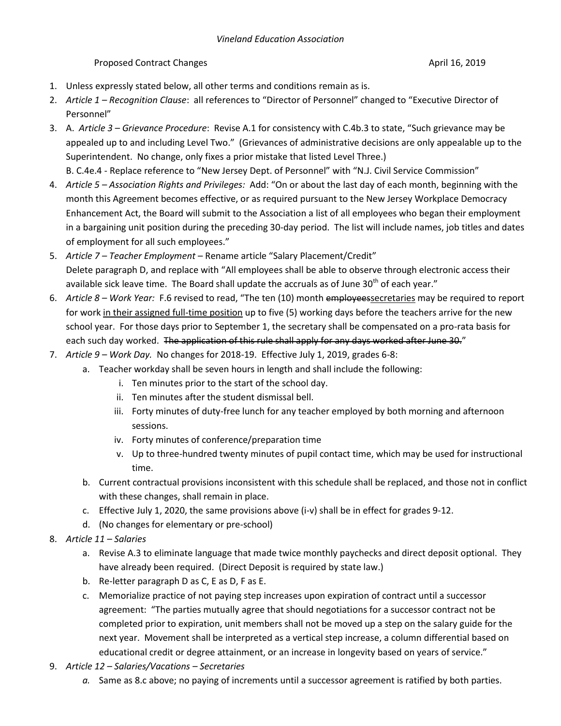## Proposed Contract Changes **April 16, 2019 April 16, 2019**

- 1. Unless expressly stated below, all other terms and conditions remain as is.
- 2. *Article 1 – Recognition Clause*: all references to "Director of Personnel" changed to "Executive Director of Personnel"
- 3. A. *Article 3 – Grievance Procedure*: Revise A.1 for consistency with C.4b.3 to state, "Such grievance may be appealed up to and including Level Two." (Grievances of administrative decisions are only appealable up to the Superintendent. No change, only fixes a prior mistake that listed Level Three.)

B. C.4e.4 - Replace reference to "New Jersey Dept. of Personnel" with "N.J. Civil Service Commission"

- 4. *Article 5 – Association Rights and Privileges:* Add: "On or about the last day of each month, beginning with the month this Agreement becomes effective, or as required pursuant to the New Jersey Workplace Democracy Enhancement Act, the Board will submit to the Association a list of all employees who began their employment in a bargaining unit position during the preceding 30-day period. The list will include names, job titles and dates of employment for all such employees."
- 5. *Article 7 – Teacher Employment* Rename article "Salary Placement/Credit" Delete paragraph D, and replace with "All employees shall be able to observe through electronic access their available sick leave time. The Board shall update the accruals as of June  $30<sup>th</sup>$  of each year."
- 6. *Article 8 – Work Year:* F.6 revised to read, "The ten (10) month employeessecretaries may be required to report for work in their assigned full-time position up to five (5) working days before the teachers arrive for the new school year. For those days prior to September 1, the secretary shall be compensated on a pro-rata basis for each such day worked. The application of this rule shall apply for any days worked after June 30."
- 7. *Article 9 – Work Day.* No changes for 2018-19. Effective July 1, 2019, grades 6-8:
	- a. Teacher workday shall be seven hours in length and shall include the following:
		- i. Ten minutes prior to the start of the school day.
		- ii. Ten minutes after the student dismissal bell.
		- iii. Forty minutes of duty-free lunch for any teacher employed by both morning and afternoon sessions.
		- iv. Forty minutes of conference/preparation time
		- v. Up to three-hundred twenty minutes of pupil contact time, which may be used for instructional time.
	- b. Current contractual provisions inconsistent with this schedule shall be replaced, and those not in conflict with these changes, shall remain in place.
	- c. Effective July 1, 2020, the same provisions above (i-v) shall be in effect for grades 9-12.
	- d. (No changes for elementary or pre-school)
- 8. *Article 11 – Salaries*
	- a. Revise A.3 to eliminate language that made twice monthly paychecks and direct deposit optional. They have already been required. (Direct Deposit is required by state law.)
	- b. Re-letter paragraph D as C, E as D, F as E.
	- c. Memorialize practice of not paying step increases upon expiration of contract until a successor agreement: "The parties mutually agree that should negotiations for a successor contract not be completed prior to expiration, unit members shall not be moved up a step on the salary guide for the next year. Movement shall be interpreted as a vertical step increase, a column differential based on educational credit or degree attainment, or an increase in longevity based on years of service."
- 9. *Article 12 – Salaries/Vacations – Secretaries* 
	- *a.* Same as 8.c above; no paying of increments until a successor agreement is ratified by both parties.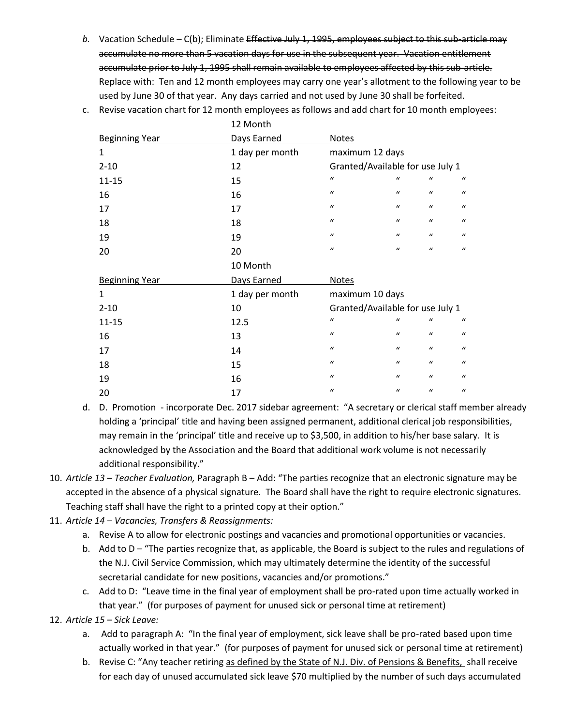b. Vacation Schedule – C(b); Eliminate Effective July 1, 1995, employees subject to this sub-article may accumulate no more than 5 vacation days for use in the subsequent year. Vacation entitlement accumulate prior to July 1, 1995 shall remain available to employees affected by this sub-article. Replace with: Ten and 12 month employees may carry one year's allotment to the following year to be used by June 30 of that year. Any days carried and not used by June 30 shall be forfeited.

|                       | <b>TS MOUTH</b> |                                  |                  |                  |                  |
|-----------------------|-----------------|----------------------------------|------------------|------------------|------------------|
| <b>Beginning Year</b> | Days Earned     | <b>Notes</b>                     |                  |                  |                  |
| 1                     | 1 day per month | maximum 12 days                  |                  |                  |                  |
| $2 - 10$              | 12              | Granted/Available for use July 1 |                  |                  |                  |
| $11 - 15$             | 15              | $\mathbf{u}$                     | $\mathbf{u}$     | $\iota$          | $\boldsymbol{u}$ |
| 16                    | 16              | $\mathbf{u}$                     | $\boldsymbol{u}$ | $\mathcal{U}$    | $\boldsymbol{u}$ |
| 17                    | 17              | $\mathbf{u}$                     | $\boldsymbol{u}$ | $\boldsymbol{u}$ | $\mathbf{u}$     |
| 18                    | 18              | $\boldsymbol{u}$                 | $\boldsymbol{u}$ | $\boldsymbol{u}$ | $\boldsymbol{u}$ |
| 19                    | 19              | $\mathbf{u}$                     | $\boldsymbol{u}$ | $\mathcal{U}$    | $\boldsymbol{u}$ |
| 20                    | 20              | $\mathbf{u}$                     | $\boldsymbol{u}$ | $\mathcal{U}$    | $\mathbf{u}$     |
|                       |                 |                                  |                  |                  |                  |
|                       | 10 Month        |                                  |                  |                  |                  |
| <b>Beginning Year</b> | Days Earned     | <b>Notes</b>                     |                  |                  |                  |
| 1                     | 1 day per month | maximum 10 days                  |                  |                  |                  |
| $2 - 10$              | 10              | Granted/Available for use July 1 |                  |                  |                  |
| $11 - 15$             | 12.5            | $\mathbf{u}$                     | $\mathbf{u}$     | $\mathcal{U}$    | $\iota$          |
| 16                    | 13              | $\mathbf{u}$                     | $\boldsymbol{u}$ | $\mathcal{U}$    | $\mathbf{u}$     |
| 17                    | 14              | $\mathbf{u}$                     | $\boldsymbol{u}$ | $\mathcal{U}$    | $\mathbf{u}$     |
| 18                    | 15              | $\mathbf{u}$                     | $\boldsymbol{u}$ | $\mathcal{U}$    | $\bf{u}$         |
| 19                    | 16              | $\mathbf{u}$                     | $\boldsymbol{u}$ | $\mathcal{U}$    | $\mathbf{u}$     |

c. Revise vacation chart for 12 month employees as follows and add chart for 10 month employees:

 $12 M + 1$ 

- d. D. Promotion incorporate Dec. 2017 sidebar agreement: "A secretary or clerical staff member already holding a 'principal' title and having been assigned permanent, additional clerical job responsibilities, may remain in the 'principal' title and receive up to \$3,500, in addition to his/her base salary. It is acknowledged by the Association and the Board that additional work volume is not necessarily additional responsibility."
- 10. *Article 13 – Teacher Evaluation,* Paragraph B Add: "The parties recognize that an electronic signature may be accepted in the absence of a physical signature. The Board shall have the right to require electronic signatures. Teaching staff shall have the right to a printed copy at their option."
- 11. *Article 14 – Vacancies, Transfers & Reassignments:* 
	- a. Revise A to allow for electronic postings and vacancies and promotional opportunities or vacancies.
	- b. Add to D "The parties recognize that, as applicable, the Board is subject to the rules and regulations of the N.J. Civil Service Commission, which may ultimately determine the identity of the successful secretarial candidate for new positions, vacancies and/or promotions."
	- c. Add to D: "Leave time in the final year of employment shall be pro-rated upon time actually worked in that year." (for purposes of payment for unused sick or personal time at retirement)

12. *Article 15 – Sick Leave:*

- a. Add to paragraph A: "In the final year of employment, sick leave shall be pro-rated based upon time actually worked in that year." (for purposes of payment for unused sick or personal time at retirement)
- b. Revise C: "Any teacher retiring as defined by the State of N.J. Div. of Pensions & Benefits, shall receive for each day of unused accumulated sick leave \$70 multiplied by the number of such days accumulated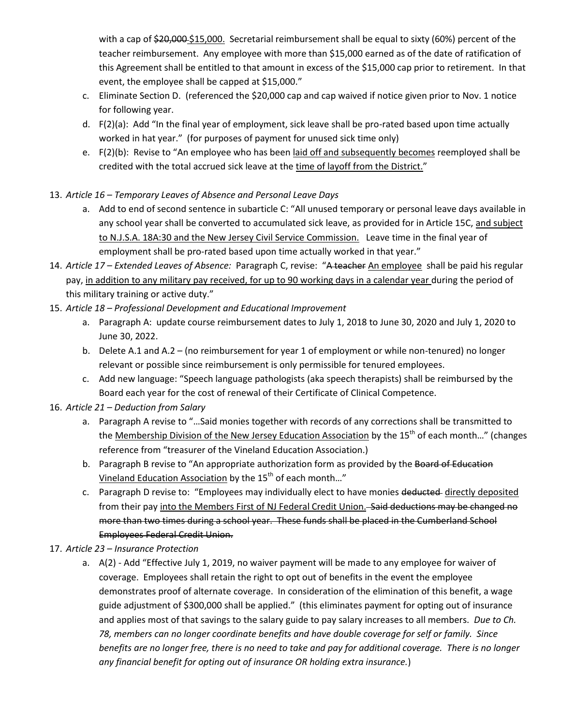with a cap of \$20,000 \$15,000. Secretarial reimbursement shall be equal to sixty (60%) percent of the teacher reimbursement. Any employee with more than \$15,000 earned as of the date of ratification of this Agreement shall be entitled to that amount in excess of the \$15,000 cap prior to retirement. In that event, the employee shall be capped at \$15,000."

- c. Eliminate Section D. (referenced the \$20,000 cap and cap waived if notice given prior to Nov. 1 notice for following year.
- d. F(2)(a): Add "In the final year of employment, sick leave shall be pro-rated based upon time actually worked in hat year." (for purposes of payment for unused sick time only)
- e. F(2)(b): Revise to "An employee who has been laid off and subsequently becomes reemployed shall be credited with the total accrued sick leave at the time of layoff from the District."
- 13. *Article 16 – Temporary Leaves of Absence and Personal Leave Days*
	- a. Add to end of second sentence in subarticle C: "All unused temporary or personal leave days available in any school year shall be converted to accumulated sick leave, as provided for in Article 15C, and subject to N.J.S.A. 18A:30 and the New Jersey Civil Service Commission. Leave time in the final year of employment shall be pro-rated based upon time actually worked in that year."
- 14. *Article 17 – Extended Leaves of Absence:* Paragraph C, revise: "A teacher An employee shall be paid his regular pay, in addition to any military pay received, for up to 90 working days in a calendar year during the period of this military training or active duty."
- 15. *Article 18 – Professional Development and Educational Improvement*
	- a. Paragraph A: update course reimbursement dates to July 1, 2018 to June 30, 2020 and July 1, 2020 to June 30, 2022.
	- b. Delete A.1 and A.2 (no reimbursement for year 1 of employment or while non-tenured) no longer relevant or possible since reimbursement is only permissible for tenured employees.
	- c. Add new language: "Speech language pathologists (aka speech therapists) shall be reimbursed by the Board each year for the cost of renewal of their Certificate of Clinical Competence.
- 16. *Article 21 – Deduction from Salary*
	- a. Paragraph A revise to "…Said monies together with records of any corrections shall be transmitted to the Membership Division of the New Jersey Education Association by the  $15<sup>th</sup>$  of each month..." (changes reference from "treasurer of the Vineland Education Association.)
	- b. Paragraph B revise to "An appropriate authorization form as provided by the Board of Education Vineland Education Association by the 15<sup>th</sup> of each month..."
	- c. Paragraph D revise to: "Employees may individually elect to have monies deducted directly deposited from their pay into the Members First of NJ Federal Credit Union. Said deductions may be changed no more than two times during a school year. These funds shall be placed in the Cumberland School Employees Federal Credit Union.
- 17. *Article 23 – Insurance Protection*
	- a. A(2) Add "Effective July 1, 2019, no waiver payment will be made to any employee for waiver of coverage. Employees shall retain the right to opt out of benefits in the event the employee demonstrates proof of alternate coverage. In consideration of the elimination of this benefit, a wage guide adjustment of \$300,000 shall be applied." (this eliminates payment for opting out of insurance and applies most of that savings to the salary guide to pay salary increases to all members. *Due to Ch. 78, members can no longer coordinate benefits and have double coverage for self or family. Since benefits are no longer free, there is no need to take and pay for additional coverage. There is no longer any financial benefit for opting out of insurance OR holding extra insurance.*)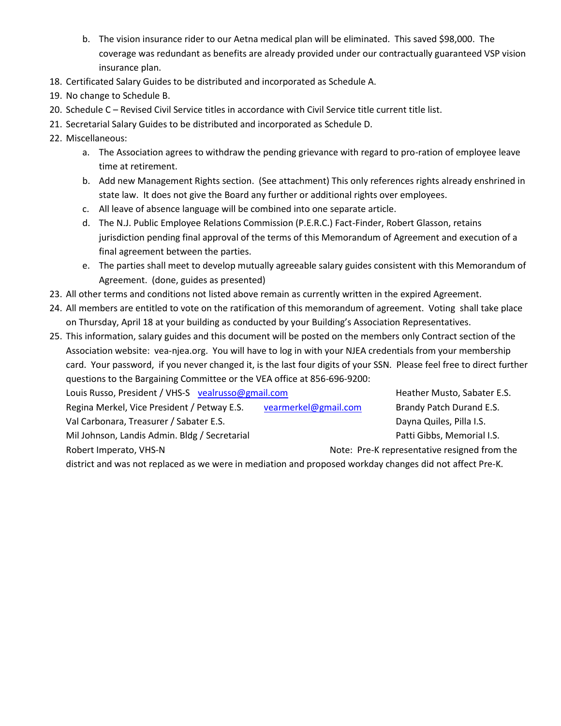- b. The vision insurance rider to our Aetna medical plan will be eliminated. This saved \$98,000. The coverage was redundant as benefits are already provided under our contractually guaranteed VSP vision insurance plan.
- 18. Certificated Salary Guides to be distributed and incorporated as Schedule A.
- 19. No change to Schedule B.
- 20. Schedule C Revised Civil Service titles in accordance with Civil Service title current title list.
- 21. Secretarial Salary Guides to be distributed and incorporated as Schedule D.
- 22. Miscellaneous:
	- a. The Association agrees to withdraw the pending grievance with regard to pro-ration of employee leave time at retirement.
	- b. Add new Management Rights section. (See attachment) This only references rights already enshrined in state law. It does not give the Board any further or additional rights over employees.
	- c. All leave of absence language will be combined into one separate article.
	- d. The N.J. Public Employee Relations Commission (P.E.R.C.) Fact-Finder, Robert Glasson, retains jurisdiction pending final approval of the terms of this Memorandum of Agreement and execution of a final agreement between the parties.
	- e. The parties shall meet to develop mutually agreeable salary guides consistent with this Memorandum of Agreement. (done, guides as presented)
- 23. All other terms and conditions not listed above remain as currently written in the expired Agreement.
- 24. All members are entitled to vote on the ratification of this memorandum of agreement. Voting shall take place on Thursday, April 18 at your building as conducted by your Building's Association Representatives.
- 25. This information, salary guides and this document will be posted on the members only Contract section of the Association website: vea-njea.org. You will have to log in with your NJEA credentials from your membership card. Your password, if you never changed it, is the last four digits of your SSN. Please feel free to direct further questions to the Bargaining Committee or the VEA office at 856-696-9200:

| Louis Russo, President / VHS-S vealrusso@gmail.com |                      | Heather Musto, Sabater E.S.                  |
|----------------------------------------------------|----------------------|----------------------------------------------|
| Regina Merkel, Vice President / Petway E.S.        | vearmerkel@gmail.com | Brandy Patch Durand E.S.                     |
| Val Carbonara, Treasurer / Sabater E.S.            |                      | Dayna Quiles, Pilla I.S.                     |
| Mil Johnson, Landis Admin. Bldg / Secretarial      |                      | Patti Gibbs, Memorial I.S.                   |
| Robert Imperato, VHS-N                             |                      | Note: Pre-K representative resigned from the |
|                                                    |                      |                                              |

district and was not replaced as we were in mediation and proposed workday changes did not affect Pre-K.